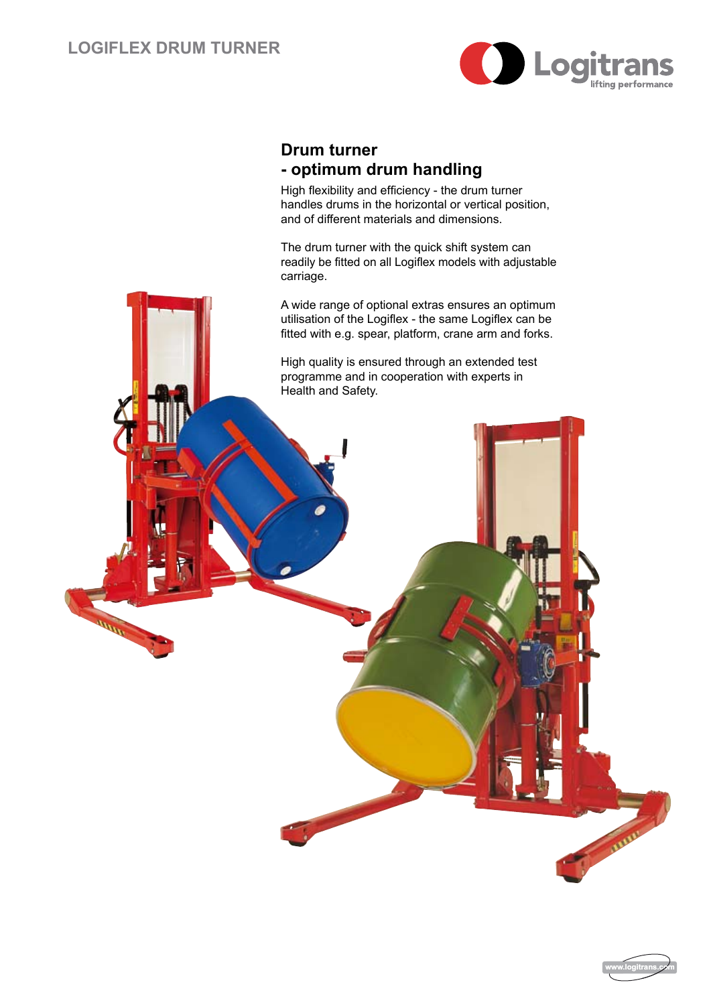

## **Drum turner - optimum drum handling**

High flexibility and efficiency - the drum turner handles drums in the horizontal or vertical position, and of different materials and dimensions.

The drum turner with the quick shift system can readily be fitted on all Logiflex models with adjustable carriage.

A wide range of optional extras ensures an optimum utilisation of the Logiflex - the same Logiflex can be fitted with e.g. spear, platform, crane arm and forks.

High quality is ensured through an extended test programme and in cooperation with experts in Health and Safety.